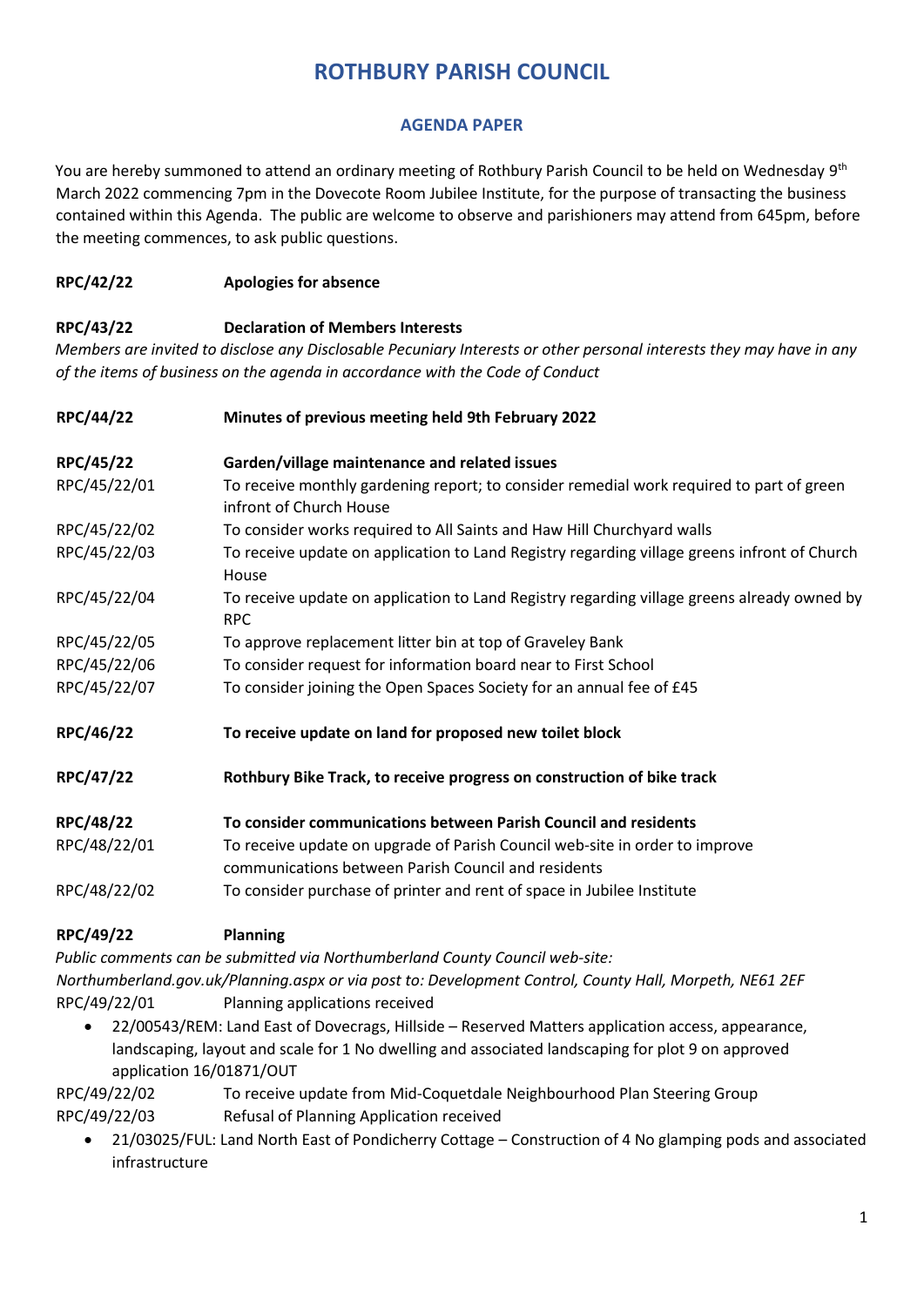# **ROTHBURY PARISH COUNCIL**

### **AGENDA PAPER**

You are hereby summoned to attend an ordinary meeting of Rothbury Parish Council to be held on Wednesday 9<sup>th</sup> March 2022 commencing 7pm in the Dovecote Room Jubilee Institute, for the purpose of transacting the business contained within this Agenda. The public are welcome to observe and parishioners may attend from 645pm, before the meeting commences, to ask public questions.

#### **RPC/42/22 Apologies for absence**

#### **RPC/43/22 Declaration of Members Interests**

*Members are invited to disclose any Disclosable Pecuniary Interests or other personal interests they may have in any of the items of business on the agenda in accordance with the Code of Conduct* 

| RPC/44/22    | Minutes of previous meeting held 9th February 2022                                                                                 |  |  |  |  |
|--------------|------------------------------------------------------------------------------------------------------------------------------------|--|--|--|--|
| RPC/45/22    | Garden/village maintenance and related issues                                                                                      |  |  |  |  |
| RPC/45/22/01 | To receive monthly gardening report; to consider remedial work required to part of green<br>infront of Church House                |  |  |  |  |
| RPC/45/22/02 | To consider works required to All Saints and Haw Hill Churchyard walls                                                             |  |  |  |  |
| RPC/45/22/03 | To receive update on application to Land Registry regarding village greens infront of Church<br>House                              |  |  |  |  |
| RPC/45/22/04 | To receive update on application to Land Registry regarding village greens already owned by<br><b>RPC</b>                          |  |  |  |  |
| RPC/45/22/05 | To approve replacement litter bin at top of Graveley Bank                                                                          |  |  |  |  |
| RPC/45/22/06 | To consider request for information board near to First School                                                                     |  |  |  |  |
| RPC/45/22/07 | To consider joining the Open Spaces Society for an annual fee of £45                                                               |  |  |  |  |
| RPC/46/22    | To receive update on land for proposed new toilet block                                                                            |  |  |  |  |
| RPC/47/22    | Rothbury Bike Track, to receive progress on construction of bike track                                                             |  |  |  |  |
| RPC/48/22    | To consider communications between Parish Council and residents                                                                    |  |  |  |  |
| RPC/48/22/01 | To receive update on upgrade of Parish Council web-site in order to improve<br>communications between Parish Council and residents |  |  |  |  |
| RPC/48/22/02 | To consider purchase of printer and rent of space in Jubilee Institute                                                             |  |  |  |  |
|              |                                                                                                                                    |  |  |  |  |

## **RPC/49/22 Planning**

*Public comments can be submitted via Northumberland County Council web-site: Northumberland.gov.uk/Planning.aspx or via post to: Development Control, County Hall, Morpeth, NE61 2EF* RPC/49/22/01 Planning applications received

• 22/00543/REM: Land East of Dovecrags, Hillside – Reserved Matters application access, appearance, landscaping, layout and scale for 1 No dwelling and associated landscaping for plot 9 on approved application 16/01871/OUT

RPC/49/22/02 To receive update from Mid-Coquetdale Neighbourhood Plan Steering Group RPC/49/22/03 Refusal of Planning Application received

• 21/03025/FUL: Land North East of Pondicherry Cottage – Construction of 4 No glamping pods and associated infrastructure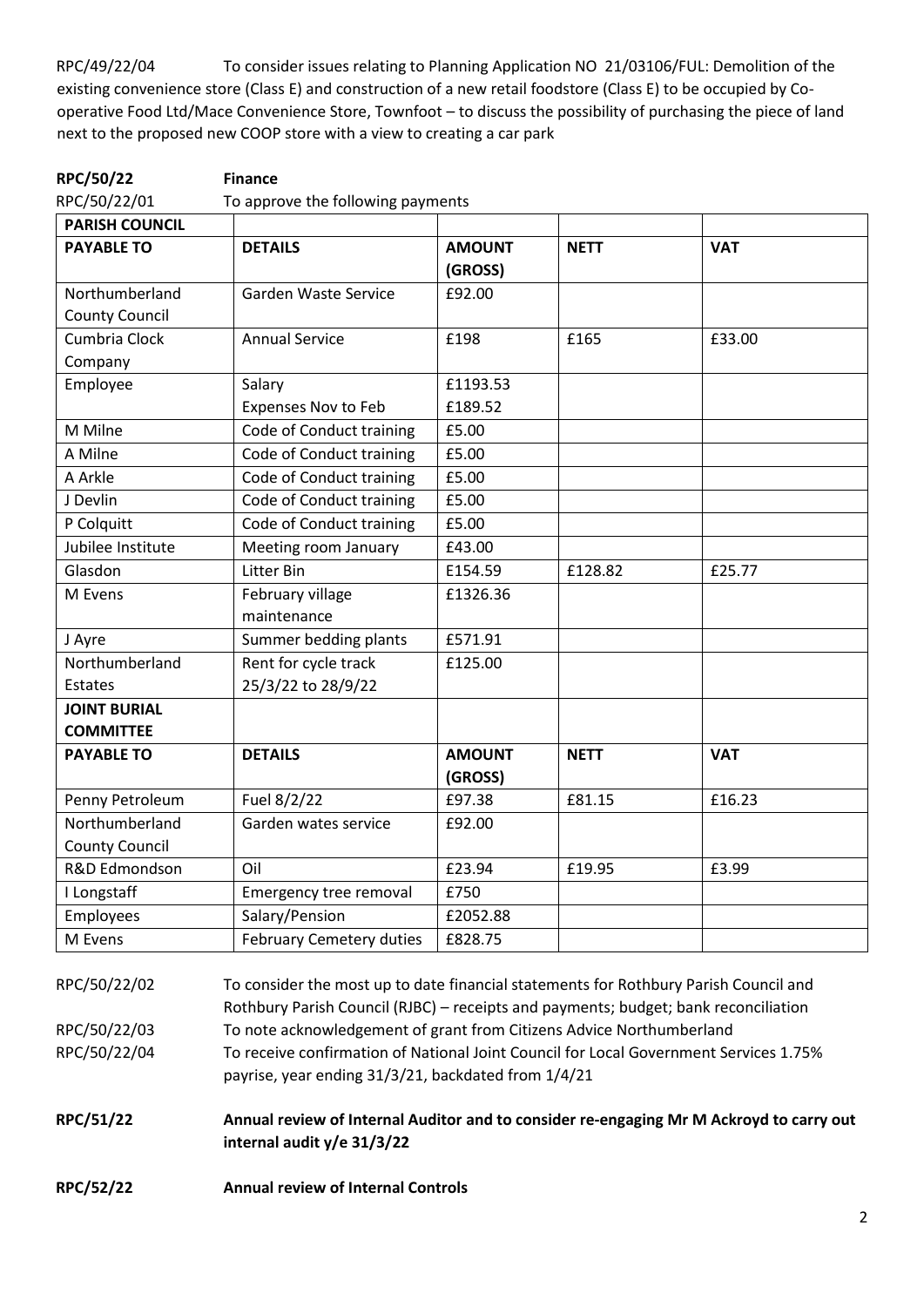RPC/49/22/04 To consider issues relating to Planning Application NO 21/03106/FUL: Demolition of the existing convenience store (Class E) and construction of a new retail foodstore (Class E) to be occupied by Cooperative Food Ltd/Mace Convenience Store, Townfoot – to discuss the possibility of purchasing the piece of land next to the proposed new COOP store with a view to creating a car park

| RPC/50/22                               | <b>Finance</b>                             |                          |             |            |
|-----------------------------------------|--------------------------------------------|--------------------------|-------------|------------|
| RPC/50/22/01                            | To approve the following payments          |                          |             |            |
| <b>PARISH COUNCIL</b>                   |                                            |                          |             |            |
| <b>PAYABLE TO</b>                       | <b>DETAILS</b>                             | <b>AMOUNT</b><br>(GROSS) | <b>NETT</b> | <b>VAT</b> |
| Northumberland<br><b>County Council</b> | Garden Waste Service                       | £92.00                   |             |            |
| Cumbria Clock<br>Company                | <b>Annual Service</b>                      | £198                     | £165        | £33.00     |
| Employee                                | Salary<br><b>Expenses Nov to Feb</b>       | £1193.53<br>£189.52      |             |            |
| M Milne                                 | Code of Conduct training                   | £5.00                    |             |            |
| A Milne                                 | Code of Conduct training                   | £5.00                    |             |            |
| A Arkle                                 | Code of Conduct training                   | £5.00                    |             |            |
| J Devlin                                | Code of Conduct training                   | £5.00                    |             |            |
| P Colquitt                              | Code of Conduct training                   | £5.00                    |             |            |
| Jubilee Institute                       | Meeting room January                       | £43.00                   |             |            |
| Glasdon                                 | Litter Bin                                 | E154.59                  | £128.82     | £25.77     |
| M Evens                                 | February village<br>maintenance            | £1326.36                 |             |            |
| J Ayre                                  | Summer bedding plants                      | £571.91                  |             |            |
| Northumberland<br><b>Estates</b>        | Rent for cycle track<br>25/3/22 to 28/9/22 | £125.00                  |             |            |
| <b>JOINT BURIAL</b><br><b>COMMITTEE</b> |                                            |                          |             |            |
| <b>PAYABLE TO</b>                       | <b>DETAILS</b>                             | <b>AMOUNT</b><br>(GROSS) | <b>NETT</b> | <b>VAT</b> |
| Penny Petroleum                         | Fuel 8/2/22                                | £97.38                   | £81.15      | £16.23     |
| Northumberland<br><b>County Council</b> | Garden wates service                       | £92.00                   |             |            |
| R&D Edmondson                           | Oil                                        | £23.94                   | £19.95      | £3.99      |
| I Longstaff                             | Emergency tree removal                     | £750                     |             |            |
| Employees                               | Salary/Pension                             | £2052.88                 |             |            |
| M Evens                                 | <b>February Cemetery duties</b>            | £828.75                  |             |            |

RPC/50/22/02 To consider the most up to date financial statements for Rothbury Parish Council and Rothbury Parish Council (RJBC) – receipts and payments; budget; bank reconciliation RPC/50/22/03 To note acknowledgement of grant from Citizens Advice Northumberland RPC/50/22/04 To receive confirmation of National Joint Council for Local Government Services 1.75% payrise, year ending 31/3/21, backdated from 1/4/21

**RPC/51/22 Annual review of Internal Auditor and to consider re-engaging Mr M Ackroyd to carry out internal audit y/e 31/3/22**

**RPC/52/22 Annual review of Internal Controls**